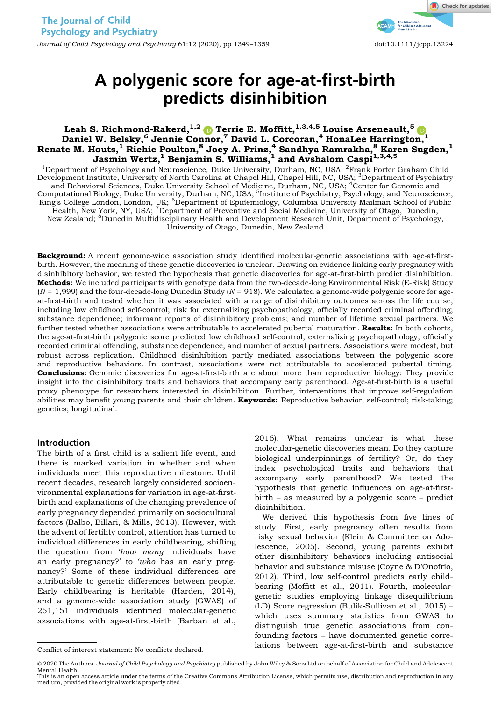Journal of Child Psychology and Psychiatry 61:12 (2020), pp 1349–1359 doi:10.1111/jcpp.13224

# A polygenic score for age‐at‐first‐birth predicts disinhibition

# Leah S. Richmond-Rakerd, $^{1,2}$   $\spadesuit$  Terrie E. Moffitt, $^{1,3,4,5}$  Louise Arseneault, $^5$ Daniel W. Belsky, $^6$  Jennie Connor, $^7$  David L. Corcoran, $^4$  HonaLee Harrington, $^1$ Renate M. Houts, $^1$  Richie Poulton, $^8$  Joey A. Prinz, $^4$  Sandhya Ramrakha, $^8$  Karen Sugden, $^1$ Jasmin Wertz, $^1$  Benjamin S. Williams, $^1$  and Avshalom Caspi $^{1,3,4,5}$

<sup>1</sup>Department of Psychology and Neuroscience, Duke University, Durham, NC, USA; <sup>2</sup>Frank Porter Graham Child Development Institute, University of North Carolina at Chapel Hill, Chapel Hill, NC, USA; <sup>3</sup>Department of Psychiatry and Behavioral Sciences, Duke University School of Medicine, Durham, NC, USA; <sup>4</sup>Center for Genomic and Computational Biology, Duke University, Durham, NC, USA; <sup>5</sup>Institute of Psychiatry, Psychology, and Neuroscience, King's College London, London, UK; <sup>6</sup>Department of Epidemiology, Columbia University Mailman School of Public<br>Health, New York, NY, USA; <sup>7</sup>Department of Preventive and Social Medicine, University of Otago, Dunedin,<br>New Z University of Otago, Dunedin, New Zealand

Background: A recent genome-wide association study identified molecular-genetic associations with age-at-firstbirth. However, the meaning of these genetic discoveries is unclear. Drawing on evidence linking early pregnancy with disinhibitory behavior, we tested the hypothesis that genetic discoveries for age-at-first-birth predict disinhibition. Methods: We included participants with genotype data from the two-decade-long Environmental Risk (E-Risk) Study  $(N = 1,999)$  and the four-decade-long Dunedin Study ( $N = 918$ ). We calculated a genome-wide polygenic score for ageat‐first‐birth and tested whether it was associated with a range of disinhibitory outcomes across the life course, including low childhood self-control; risk for externalizing psychopathology; officially recorded criminal offending; substance dependence; informant reports of disinhibitory problems; and number of lifetime sexual partners. We further tested whether associations were attributable to accelerated pubertal maturation. Results: In both cohorts, the age-at-first-birth polygenic score predicted low childhood self-control, externalizing psychopathology, officially recorded criminal offending, substance dependence, and number of sexual partners. Associations were modest, but robust across replication. Childhood disinhibition partly mediated associations between the polygenic score and reproductive behaviors. In contrast, associations were not attributable to accelerated pubertal timing. **Conclusions:** Genomic discoveries for age-at-first-birth are about more than reproductive biology: They provide insight into the disinhibitory traits and behaviors that accompany early parenthood. Age‐at‐first‐birth is a useful proxy phenotype for researchers interested in disinhibition. Further, interventions that improve self-regulation abilities may benefit young parents and their children. Keywords: Reproductive behavior; self-control; risk-taking; genetics; longitudinal.

#### Introduction

The birth of a first child is a salient life event, and there is marked variation in whether and when individuals meet this reproductive milestone. Until recent decades, research largely considered socioenvironmental explanations for variation in age‐at‐first‐ birth and explanations of the changing prevalence of early pregnancy depended primarily on sociocultural factors (Balbo, Billari, & Mills, 2013). However, with the advent of fertility control, attention has turned to individual differences in early childbearing, shifting the question from 'how many individuals have an early pregnancy?' to 'who has an early pregnancy?' Some of these individual differences are attributable to genetic differences between people. Early childbearing is heritable (Harden, 2014), and a genome‐wide association study (GWAS) of 251,151 individuals identified molecular‐genetic associations with age‐at‐first‐birth (Barban et al.,

2016). What remains unclear is what these molecular‐genetic discoveries mean. Do they capture biological underpinnings of fertility? Or, do they index psychological traits and behaviors that accompany early parenthood? We tested the hypothesis that genetic influences on age-at-firstbirth – as measured by a polygenic score – predict disinhibition.

We derived this hypothesis from five lines of study. First, early pregnancy often results from risky sexual behavior (Klein & Committee on Adolescence, 2005). Second, young parents exhibit other disinhibitory behaviors including antisocial behavior and substance misuse (Coyne & D'Onofrio, 2012). Third, low self‐control predicts early childbearing (Moffitt et al., 2011). Fourth, molecular‐ genetic studies employing linkage disequilibrium (LD) Score regression (Bulik‐Sullivan et al., 2015) – which uses summary statistics from GWAS to distinguish true genetic associations from confounding factors – have documented genetic correlations between age‐at‐first‐birth and substance Conflict of interest statement: No conflicts declared.

<sup>© 2020</sup> The Authors. Journal of Child Psychology and Psychiatry published by John Wiley & Sons Ltd on behalf of Association for Child and Adolescent

Mental Health. This is an open access article under the terms of the [Creative Commons Attribution](http://creativecommons.org/licenses/by/4.0/) License, which permits use, distribution and reproduction in any medium, provided the original work is properly cited.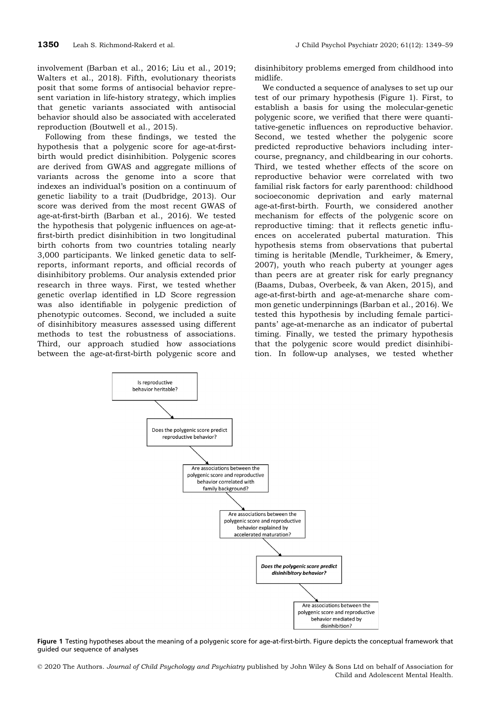involvement (Barban et al., 2016; Liu et al., 2019; Walters et al., 2018). Fifth, evolutionary theorists posit that some forms of antisocial behavior represent variation in life-history strategy, which implies that genetic variants associated with antisocial behavior should also be associated with accelerated reproduction (Boutwell et al., 2015).

Following from these findings, we tested the hypothesis that a polygenic score for age-at-firstbirth would predict disinhibition. Polygenic scores are derived from GWAS and aggregate millions of variants across the genome into a score that indexes an individual's position on a continuum of genetic liability to a trait (Dudbridge, 2013). Our score was derived from the most recent GWAS of age‐at‐first‐birth (Barban et al., 2016). We tested the hypothesis that polygenic influences on age‐at‐ first-birth predict disinhibition in two longitudinal birth cohorts from two countries totaling nearly 3,000 participants. We linked genetic data to self‐ reports, informant reports, and official records of disinhibitory problems. Our analysis extended prior research in three ways. First, we tested whether genetic overlap identified in LD Score regression was also identifiable in polygenic prediction of phenotypic outcomes. Second, we included a suite of disinhibitory measures assessed using different methods to test the robustness of associations. Third, our approach studied how associations between the age‐at‐first‐birth polygenic score and disinhibitory problems emerged from childhood into midlife.

We conducted a sequence of analyses to set up our test of our primary hypothesis (Figure 1). First, to establish a basis for using the molecular‐genetic polygenic score, we verified that there were quantitative‐genetic influences on reproductive behavior. Second, we tested whether the polygenic score predicted reproductive behaviors including intercourse, pregnancy, and childbearing in our cohorts. Third, we tested whether effects of the score on reproductive behavior were correlated with two familial risk factors for early parenthood: childhood socioeconomic deprivation and early maternal age‐at‐first‐birth. Fourth, we considered another mechanism for effects of the polygenic score on reproductive timing: that it reflects genetic influences on accelerated pubertal maturation. This hypothesis stems from observations that pubertal timing is heritable (Mendle, Turkheimer, & Emery, 2007), youth who reach puberty at younger ages than peers are at greater risk for early pregnancy (Baams, Dubas, Overbeek, & van Aken, 2015), and age‐at‐first‐birth and age‐at‐menarche share common genetic underpinnings (Barban et al., 2016). We tested this hypothesis by including female participants' age‐at‐menarche as an indicator of pubertal timing. Finally, we tested the primary hypothesis that the polygenic score would predict disinhibition. In follow‐up analyses, we tested whether



Figure 1 Testing hypotheses about the meaning of a polygenic score for age-at-first-birth. Figure depicts the conceptual framework that guided our sequence of analyses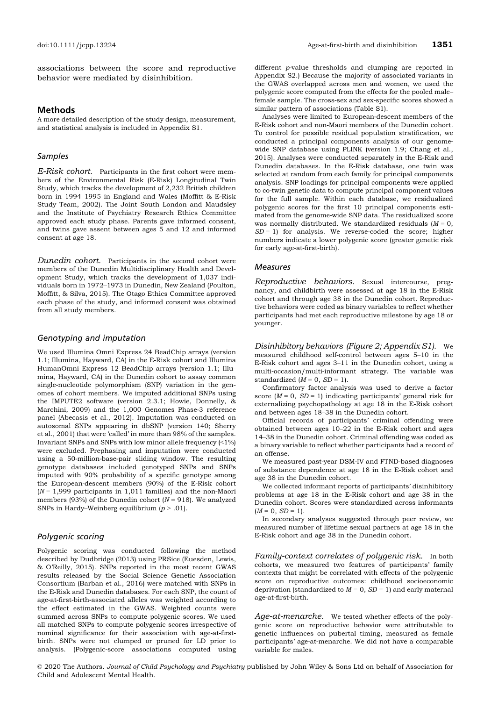associations between the score and reproductive behavior were mediated by disinhibition.

#### Methods

A more detailed description of the study design, measurement, and statistical analysis is included in Appendix S1.

#### Samples

E-Risk cohort. Participants in the first cohort were members of the Environmental Risk (E‐Risk) Longitudinal Twin Study, which tracks the development of 2,232 British children born in 1994–1995 in England and Wales (Moffitt & E‐Risk Study Team, 2002). The Joint South London and Maudsley and the Institute of Psychiatry Research Ethics Committee approved each study phase. Parents gave informed consent, and twins gave assent between ages 5 and 12 and informed consent at age 18.

Dunedin cohort. Participants in the second cohort were members of the Dunedin Multidisciplinary Health and Development Study, which tracks the development of 1,037 individuals born in 1972–1973 in Dunedin, New Zealand (Poulton, Moffitt, & Silva, 2015). The Otago Ethics Committee approved each phase of the study, and informed consent was obtained from all study members.

#### Genotyping and imputation

We used Illumina Omni Express 24 BeadChip arrays (version 1.1; Illumina, Hayward, CA) in the E‐Risk cohort and Illumina HumanOmni Express 12 BeadChip arrays (version 1.1; Illumina, Hayward, CA) in the Dunedin cohort to assay common single‐nucleotide polymorphism (SNP) variation in the genomes of cohort members. We imputed additional SNPs using the IMPUTE2 software (version 2.3.1; Howie, Donnelly, & Marchini, 2009) and the 1,000 Genomes Phase‐3 reference panel (Abecasis et al., 2012). Imputation was conducted on autosomal SNPs appearing in dbSNP (version 140; Sherry et al., 2001) that were 'called' in more than 98% of the samples. Invariant SNPs and SNPs with low minor allele frequency (<1%) were excluded. Prephasing and imputation were conducted using a 50‐million‐base‐pair sliding window. The resulting genotype databases included genotyped SNPs and SNPs imputed with 90% probability of a specific genotype among the European‐descent members (90%) of the E‐Risk cohort  $(N = 1,999$  participants in 1,011 families) and the non-Maori members (93%) of the Dunedin cohort ( $N = 918$ ). We analyzed SNPs in Hardy–Weinberg equilibrium  $(p > .01)$ .

#### Polygenic scoring

Polygenic scoring was conducted following the method described by Dudbridge (2013) using PRSice (Euesden, Lewis, & O'Reilly, 2015). SNPs reported in the most recent GWAS results released by the Social Science Genetic Association Consortium (Barban et al., 2016) were matched with SNPs in the E‐Risk and Dunedin databases. For each SNP, the count of age‐at‐first‐birth‐associated alleles was weighted according to the effect estimated in the GWAS. Weighted counts were summed across SNPs to compute polygenic scores. We used all matched SNPs to compute polygenic scores irrespective of nominal significance for their association with age-at-firstbirth. SNPs were not clumped or pruned for LD prior to analysis. (Polygenic‐score associations computed using

different *p*-value thresholds and clumping are reported in Appendix S2.) Because the majority of associated variants in the GWAS overlapped across men and women, we used the polygenic score computed from the effects for the pooled male– female sample. The cross‐sex and sex‐specific scores showed a similar pattern of associations (Table S1).

Analyses were limited to European‐descent members of the E‐Risk cohort and non‐Maori members of the Dunedin cohort. To control for possible residual population stratification, we conducted a principal components analysis of our genome‐ wide SNP database using PLINK (version 1.9; Chang et al., 2015). Analyses were conducted separately in the E‐Risk and Dunedin databases. In the E‐Risk database, one twin was selected at random from each family for principal components analysis. SNP loadings for principal components were applied to co-twin genetic data to compute principal component values for the full sample. Within each database, we residualized polygenic scores for the first 10 principal components estimated from the genome‐wide SNP data. The residualized score was normally distributed. We standardized residuals  $(M = 0,$  $SD = 1$ ) for analysis. We reverse-coded the score; higher numbers indicate a lower polygenic score (greater genetic risk for early age-at-first-birth).

#### Measures

Reproductive behaviors. Sexual intercourse, pregnancy, and childbirth were assessed at age 18 in the E‐Risk cohort and through age 38 in the Dunedin cohort. Reproductive behaviors were coded as binary variables to reflect whether participants had met each reproductive milestone by age 18 or younger.

Disinhibitory behaviors (Figure 2; Appendix S1). We measured childhood self‐control between ages 5–10 in the E‐Risk cohort and ages 3–11 in the Dunedin cohort, using a multi‐occasion/multi‐informant strategy. The variable was standardized  $(M = 0, SD = 1)$ .

Confirmatory factor analysis was used to derive a factor score  $(M = 0, SD = 1)$  indicating participants' general risk for externalizing psychopathology at age 18 in the E‐Risk cohort and between ages 18–38 in the Dunedin cohort.

Official records of participants' criminal offending were obtained between ages 10–22 in the E‐Risk cohort and ages 14–38 in the Dunedin cohort. Criminal offending was coded as a binary variable to reflect whether participants had a record of an offense.

We measured past‐year DSM‐IV and FTND‐based diagnoses of substance dependence at age 18 in the E‐Risk cohort and age 38 in the Dunedin cohort.

We collected informant reports of participants' disinhibitory problems at age 18 in the E‐Risk cohort and age 38 in the Dunedin cohort. Scores were standardized across informants  $(M = 0, SD = 1).$ 

In secondary analyses suggested through peer review, we measured number of lifetime sexual partners at age 18 in the E‐Risk cohort and age 38 in the Dunedin cohort.

Family-context correlates of polygenic risk. In both cohorts, we measured two features of participants' family contexts that might be correlated with effects of the polygenic score on reproductive outcomes: childhood socioeconomic deprivation (standardized to  $M = 0$ ,  $SD = 1$ ) and early maternal age‐at‐first‐birth.

Age-at-menarche. We tested whether effects of the polygenic score on reproductive behavior were attributable to genetic influences on pubertal timing, measured as female participants' age‐at‐menarche. We did not have a comparable variable for males.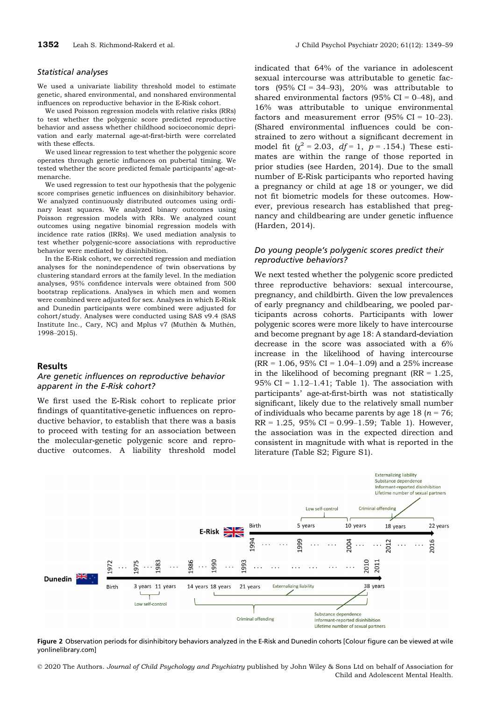#### Statistical analyses

We used a univariate liability threshold model to estimate genetic, shared environmental, and nonshared environmental influences on reproductive behavior in the E‐Risk cohort.

We used Poisson regression models with relative risks (RRs) to test whether the polygenic score predicted reproductive behavior and assess whether childhood socioeconomic deprivation and early maternal age‐at‐first‐birth were correlated with these effects.

We used linear regression to test whether the polygenic score operates through genetic influences on pubertal timing. We tested whether the score predicted female participants' age-atmenarche.

We used regression to test our hypothesis that the polygenic score comprises genetic influences on disinhibitory behavior. We analyzed continuously distributed outcomes using ordinary least squares. We analyzed binary outcomes using Poisson regression models with RRs. We analyzed count outcomes using negative binomial regression models with incidence rate ratios (IRRs). We used mediation analysis to test whether polygenic‐score associations with reproductive behavior were mediated by disinhibition.

In the E‐Risk cohort, we corrected regression and mediation analyses for the nonindependence of twin observations by clustering standard errors at the family level. In the mediation analyses, 95% confidence intervals were obtained from 500 bootstrap replications. Analyses in which men and women were combined were adjusted for sex. Analyses in which E‐Risk and Dunedin participants were combined were adjusted for cohort/study. Analyses were conducted using SAS v9.4 (SAS Institute Inc., Cary, NC) and Mplus v7 (Muthén & Muthén, 1998–2015).

#### Results

#### Are genetic influences on reproductive behavior apparent in the E-Risk cohort?

We first used the E‐Risk cohort to replicate prior findings of quantitative‐genetic influences on reproductive behavior, to establish that there was a basis to proceed with testing for an association between the molecular‐genetic polygenic score and reproductive outcomes. A liability threshold model

indicated that 64% of the variance in adolescent sexual intercourse was attributable to genetic factors  $(95\% \text{ CI} = 34-93)$ , 20% was attributable to shared environmental factors  $(95\% \text{ CI} = 0-48)$ , and 16% was attributable to unique environmental factors and measurement error  $(95\% \text{ CI} = 10-23)$ . (Shared environmental influences could be constrained to zero without a significant decrement in model fit ( $\chi^2 = 2.03$ ,  $df = 1$ ,  $p = .154$ .) These estimates are within the range of those reported in prior studies (see Harden, 2014). Due to the small number of E‐Risk participants who reported having a pregnancy or child at age 18 or younger, we did not fit biometric models for these outcomes. However, previous research has established that pregnancy and childbearing are under genetic influence (Harden, 2014).

## Do young people's polygenic scores predict their reproductive behaviors?

We next tested whether the polygenic score predicted three reproductive behaviors: sexual intercourse, pregnancy, and childbirth. Given the low prevalences of early pregnancy and childbearing, we pooled participants across cohorts. Participants with lower polygenic scores were more likely to have intercourse and become pregnant by age 18: A standard‐deviation decrease in the score was associated with a 6% increase in the likelihood of having intercourse  $(RR = 1.06, 95\% \text{ CI} = 1.04{\text -}1.09)$  and a 25% increase in the likelihood of becoming pregnant ( $RR = 1.25$ , 95% CI =  $1.12-1.41$ ; Table 1). The association with participants' age‐at‐first‐birth was not statistically significant, likely due to the relatively small number of individuals who became parents by age 18 ( $n = 76$ ;  $RR = 1.25$ , 95% CI = 0.99–1.59; Table 1). However, the association was in the expected direction and consistent in magnitude with what is reported in the literature (Table S2; Figure S1).



Figure 2 Observation periods for disinhibitory behaviors analyzed in the E-Risk and Dunedin cohorts [Colour figure can be viewed at [wile](www.wileyonlinelibrary.com) [yonlinelibrary.com](www.wileyonlinelibrary.com)]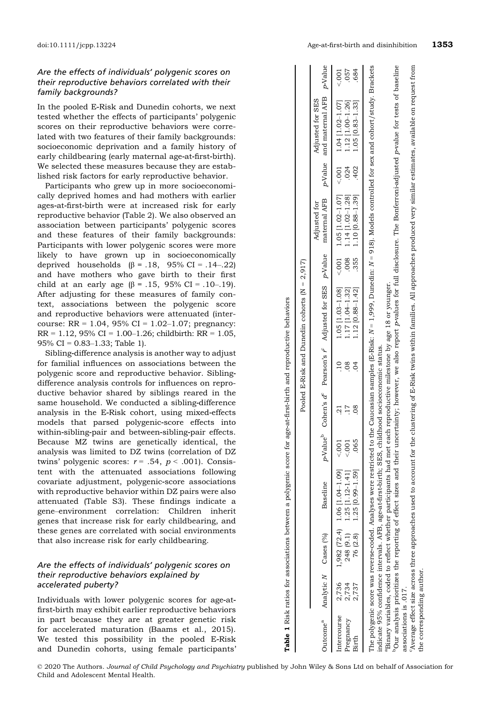## Are the effects of individuals' polygenic scores on their reproductive behaviors correlated with their family backgrounds?

In the pooled E‐Risk and Dunedin cohorts, we next tested whether the effects of participants' polygenic scores on their reproductive behaviors were correlated with two features of their family backgrounds: socioeconomic deprivation and a family history of early childbearing (early maternal age-at-first-birth). We selected these measures because they are established risk factors for early reproductive behavior.

Participants who grew up in more socioeconomically deprived homes and had mothers with earlier ages‐at‐first‐birth were at increased risk for early reproductive behavior (Table 2). We also observed an association between participants' polygenic scores and these features of their family backgrounds: Participants with lower polygenic scores were more likely to have grown up in socioeconomically deprived households ( $β = .18, 95% CI = .14-.22$ ) and have mothers who gave birth to their first child at an early age  $(β = .15, 95% CI = .10-.19)$ . After adjusting for these measures of family context, associations between the polygenic score and reproductive behaviors were attenuated (intercourse:  $RR = 1.04$ , 95% CI = 1.02-1.07; pregnancy:  $RR = 1.12$ , 95% CI = 1.00–1.26; childbirth:  $RR = 1.05$ , 95% CI = 0.83–1.33; Table 1).

Sibling‐difference analysis is another way to adjust for familial influences on associations between the polygenic score and reproductive behavior. Sibling‐ difference analysis controls for influences on reproductive behavior shared by siblings reared in the same household. We conducted a sibling‐difference analysis in the E‐Risk cohort, using mixed‐effects models that parsed polygenic‐score effects into within‐sibling‐pair and between‐sibling‐pair effects. Because MZ twins are genetically identical, the analysis was limited to DZ twins (correlation of DZ twins' polygenic scores:  $r = .54$ ,  $p < .001$ ). Consistent with the attenuated associations following covariate adjustment, polygenic‐score associations with reproductive behavior within DZ pairs were also attenuated (Table S3). These findings indicate a gene–environment correlation: Children inherit genes that increase risk for early childbearing, and these genes are correlated with social environments that also increase risk for early childbearing.

## Are the effects of individuals' polygenic scores on their reproductive behaviors explained by accelerated puberty?

Individuals with lower polygenic scores for age‐at‐ first‐birth may exhibit earlier reproductive behaviors in part because they are at greater genetic risk for accelerated maturation (Baams et al., 2015). We tested this possibility in the pooled E‐Risk and Dunedin cohorts, using female participants'

ort/study. Brackets  $N=918$ ). Models controlled for sex and cohort/study. Brackets p‐Value  $.684$  $5001$ Pregnancy 2,734 (1.02 |−1.02 |−1.02 |−1.12 |−1.12 |−1.12 |−1.12 |−1.12 |−1.12 |−1.12 |−1.12 |−1.12 |−1.12 |−1.12 |−1.12 |−1.12 |−1.12 |−1.12 |−1.12 |−1.12 |−1.12 |−1.12 |−1.12 |−1.12 |−1.12 |−1.12 |−1.12 |−1.12 |−1.12 |−1 Birth 2,737 .091 1.25 [0.8] 1.25 [0.83] .065 .08 .08 .08 .085 .091 .10.89–1.69; 1.255 .1.255 .1.23] .402 .1.23 Intercourse 2,736,7 1.07 | 1.07 | 1.07 | 1.07 | 1.09 | 1.09 | 1.09 | 1.001 1.001 1.001 1.001 | 1.001 | 1.07 | 1.07 | 1.07 | 1.07 | 1.07 | 1.07 | 1.07 | 1.07 | 1.07 | 1.07 | 1.07 | 1.07 | 1.07 | 1.07 | 1.07 | 1.07 | 1.07 | and maternal AFB Adjusted for SES and maternal AFB Adjusted for SES  $[1.00 - 1.26]$ 1.04 [1.02-1.07]  $[0.83 - 1.33]$  $\frac{1}{2}$  $-1.051$ p‐Value  $.024$ <br> $.402$  $001$  $\begin{array}{c} 1.14 \ [1.02 \text{--} 1.28] \\ 1.10 \ [0.88 \text{--} 1.39] \end{array}$  $1.05$  [1.02-1.07] maternal AFB maternal AFB Adjusted for Adjusted for p‐Value .008 355  $001$ N $N = 1,999$ , Dunedin: Adjusted for SES Adjusted for SES  $[1.03 - 1.08]$  $[1.04 - 1.32]$  $[0.88 - 1.42]$  $1.05$  $1.17$  $1.12$ NPearson's  $r^{\rm c}$  $d^c$  Pearson's r  $283$ Cohen's  $d^c$ p‐Valueb Cohen's  $7178$  $p$ -Value $^{\rm b}$ .065  $\frac{1000}{200}$ i [1.04–1.09]<br>[1.12-1.41]<br>i [0.99–1.59] Baseline N Cases (%) Baseline 1.06 1.25<br>1.25  $(72.4)$  $(9.1)$ <br> $(2.8)$ Cases (%)  $248$ 1,982 76 N2,736<br>2,734<br>2,737 Analytic Intercourse Outcome<sup>a</sup> Pregnancy Outcome<sup>a</sup> Birth

Table 1 Risk ratios for associations between a polygenic score for age-at-first-birth and reproductive behaviors Table 1 Risk ratios for associations between a polygenic score for age‐at‐first‐birth and reproductive behaviors Pooled E‐Risk and Dunedin cohorts (N = 2,917)

Pooled E-Risk and Dunedin cohorts  $(N = 2,917)$ 

| i<br>C<br>C<br>ev on<br>$Q = Q = Q$<br>$\overline{ }$<br>an samples $ E-Risk: N = 1.99$<br>whouse had met each th<br>ていこく<br>$\mathsf{irct}$<br>Binary variables, coded to reflect whether partici,<br>The polygenic score was reverse-coded. Analyses<br>indicate 95% confidence intervals. AFB, age-at-fi<br>ĺ |
|------------------------------------------------------------------------------------------------------------------------------------------------------------------------------------------------------------------------------------------------------------------------------------------------------------------|
|------------------------------------------------------------------------------------------------------------------------------------------------------------------------------------------------------------------------------------------------------------------------------------------------------------------|

'Our analysis prioritizes the reporting of effect sizes and their uncertainty; however, we also report p-values for full disclosure. The Bonferroni-adjusted p-value for tests of baseline p‐value for tests of baseline p‐values for full disclosure. The Bonferroni‐adjusted bOur analysis prioritizes the reporting of effect sizes and their uncertainty; however, we also report associations is .017. associations is .017. Ë

to account for the clustering of E-Risk twins within families. All approaches produced very similar estimates, available on request from 'Average effect size across three approaches used to account for the clustering of E‐Risk twins within families. All approaches produced very similar estimates, available on request from Average effect size across three approaches used the corresponding author. the corresponding author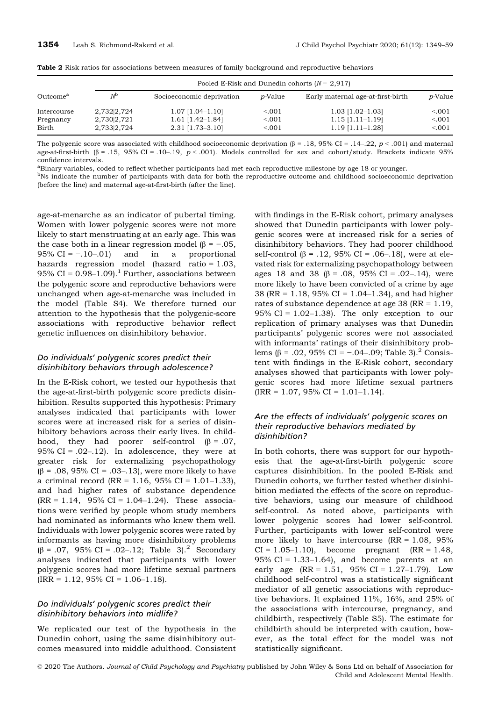|                      |             | Pooled E-Risk and Dunedin cohorts $(N = 2.917)$ |                 |                                   |                 |  |  |  |
|----------------------|-------------|-------------------------------------------------|-----------------|-----------------------------------|-----------------|--|--|--|
| Outcome <sup>a</sup> | $N^{\rm b}$ | Socioeconomic deprivation                       | <i>p</i> -Value | Early maternal age-at-first-birth | <i>p</i> -Value |  |  |  |
| Intercourse          | 2,732 2,724 | $1.07$ [1.04-1.10]                              | < 0.001         | $1.03$ [1.02-1.03]                | < 0.001         |  |  |  |
| Pregnancy            | 2,730 2,721 | $1.61$ [1.42-1.84]                              | < 0.001         | $1.15$ [1.11-1.19]                | < 0.001         |  |  |  |
| Birth                | 2,733 2,724 | $2.31$ [1.73-3.10]                              | < 0.001         | $1.19$ [1.11–1.28]                | < 0.01          |  |  |  |

Table 2 Risk ratios for associations between measures of family background and reproductive behaviors

The polygenic score was associated with childhood socioeconomic deprivation  $(\beta = .18, 95\% \text{ CI} = .14–.22, p < .001)$  and maternal age-at-first-birth (β = .15, 95% CI = .10-.19,  $p < .001$ ). Models controlled for sex and cohort/study. Brackets indicate 95% confidence intervals.

a Binary variables, coded to reflect whether participants had met each reproductive milestone by age 18 or younger.

<sup>b</sup>Ns indicate the number of participants with data for both the reproductive outcome and childhood socioeconomic deprivation (before the line) and maternal age‐at‐first‐birth (after the line).

age‐at‐menarche as an indicator of pubertal timing. Women with lower polygenic scores were not more likely to start menstruating at an early age. This was the case both in a linear regression model  $(β = -.05, )$ 95% CI =  $-10-01$  and in a proportional hazards regression model (hazard ratio = 1.03, 95% CI =  $0.98-1.09$ .<sup>1</sup> Further, associations between the polygenic score and reproductive behaviors were unchanged when age‐at‐menarche was included in the model (Table S4). We therefore turned our attention to the hypothesis that the polygenic‐score associations with reproductive behavior reflect genetic influences on disinhibitory behavior.

## Do individuals' polygenic scores predict their disinhibitory behaviors through adolescence?

In the E‐Risk cohort, we tested our hypothesis that the age‐at‐first‐birth polygenic score predicts disinhibition. Results supported this hypothesis: Primary analyses indicated that participants with lower scores were at increased risk for a series of disinhibitory behaviors across their early lives. In childhood, they had poorer self-control  $(β = .07)$ , 95% CI =  $.02-.12$ ). In adolescence, they were at greater risk for externalizing psychopathology (β = .08, 95% CI = .03–.13), were more likely to have a criminal record (RR = 1.16, 95% CI = 1.01–1.33), and had higher rates of substance dependence  $(RR = 1.14, 95\% CI = 1.04-1.24)$ . These associations were verified by people whom study members had nominated as informants who knew them well. Individuals with lower polygenic scores were rated by informants as having more disinhibitory problems  $(\beta = .07, 95\% \text{ CI} = .02-.12; \text{ Table } 3).^{2}$  Secondary analyses indicated that participants with lower polygenic scores had more lifetime sexual partners  $\text{(IRR} = 1.12, 95\% \text{ CI} = 1.06-1.18\text{).}$ 

#### Do individuals' polygenic scores predict their disinhibitory behaviors into midlife?

We replicated our test of the hypothesis in the Dunedin cohort, using the same disinhibitory outcomes measured into middle adulthood. Consistent with findings in the E‐Risk cohort, primary analyses showed that Dunedin participants with lower polygenic scores were at increased risk for a series of disinhibitory behaviors. They had poorer childhood self-control (β = .12, 95% CI = .06-.18), were at elevated risk for externalizing psychopathology between ages 18 and 38 (β = .08, 95% CI = .02–.14), were more likely to have been convicted of a crime by age 38 (RR = 1.18, 95% CI = 1.04–1.34), and had higher rates of substance dependence at age 38 ( $RR = 1.19$ , 95% CI =  $1.02-1.38$ ). The only exception to our replication of primary analyses was that Dunedin participants' polygenic scores were not associated with informants' ratings of their disinhibitory problems (β = .02, 95% CI = −.04–.09; Table 3).<sup>2</sup> Consistent with findings in the E‐Risk cohort, secondary analyses showed that participants with lower polygenic scores had more lifetime sexual partners  $\text{(IRR} = 1.07, 95\% \text{ CI} = 1.01 - 1.14).$ 

#### Are the effects of individuals' polygenic scores on their reproductive behaviors mediated by disinhibition?

In both cohorts, there was support for our hypothesis that the age‐at‐first‐birth polygenic score captures disinhibition. In the pooled E‐Risk and Dunedin cohorts, we further tested whether disinhibition mediated the effects of the score on reproductive behaviors, using our measure of childhood self-control. As noted above, participants with lower polygenic scores had lower self-control. Further, participants with lower self-control were more likely to have intercourse  $(RR = 1.08, 95\%)$  $CI = 1.05 - 1.10$ , become pregnant  $(RR = 1.48,$ 95% CI =  $1.33-1.64$ , and become parents at an early age  $(RR = 1.51, 95\% CI = 1.27-1.79)$ . Low childhood self‐control was a statistically significant mediator of all genetic associations with reproductive behaviors. It explained 11%, 16%, and 25% of the associations with intercourse, pregnancy, and childbirth, respectively (Table S5). The estimate for childbirth should be interpreted with caution, however, as the total effect for the model was not statistically significant.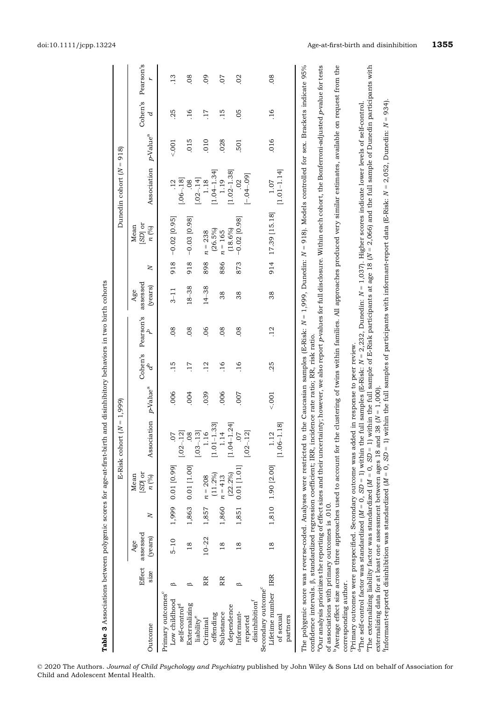| Table 3 Associations between polygenic scores for age-at-first-birth and disinhibitory behaviors in two birth cohorts                                                                                                                                                                                                                                                                                                                                                                                                                                                                                                                                                                                                                                                  |                |                            |       |                            |                                    |                    |                 |                 |                            |              |                                                                                                                    |                                         |                      |                 |                 |
|------------------------------------------------------------------------------------------------------------------------------------------------------------------------------------------------------------------------------------------------------------------------------------------------------------------------------------------------------------------------------------------------------------------------------------------------------------------------------------------------------------------------------------------------------------------------------------------------------------------------------------------------------------------------------------------------------------------------------------------------------------------------|----------------|----------------------------|-------|----------------------------|------------------------------------|--------------------|-----------------|-----------------|----------------------------|--------------|--------------------------------------------------------------------------------------------------------------------|-----------------------------------------|----------------------|-----------------|-----------------|
|                                                                                                                                                                                                                                                                                                                                                                                                                                                                                                                                                                                                                                                                                                                                                                        |                |                            |       |                            | $= M$<br><b>E-Risk cohort</b>      | 1,999)             |                 |                 |                            |              |                                                                                                                    | Dunedin cohort $(N =$                   | 918                  |                 |                 |
| Outcome                                                                                                                                                                                                                                                                                                                                                                                                                                                                                                                                                                                                                                                                                                                                                                | Effect<br>S1ZC | assessed<br>(years)<br>Age | Z     | $[SD]$ or<br>Mean<br>n (%) | Association                        | $p$ -Value $^a$    | Cohen's<br>ಕಿ   | Pearson's       | assessed<br>(years)<br>Age | $\mathsf{N}$ | iSD] or<br>Mean<br>$n$ $(%)$                                                                                       | Association                             | p-Value <sup>a</sup> | Cohen's<br>d    | Pearson's<br>۲  |
| Primary outcomes <sup>c</sup><br>Low childhood                                                                                                                                                                                                                                                                                                                                                                                                                                                                                                                                                                                                                                                                                                                         | B              | $5 - 10$                   | 1,999 | $0.01$ [0.99]              | 50.                                | .006               | 15              | 08              | $3 - 11$                   | 918          | $-0.02$ [0.95]                                                                                                     |                                         | 001                  | 25              | $\overline{13}$ |
| Externalizing<br>self-control <sup>d</sup>                                                                                                                                                                                                                                                                                                                                                                                                                                                                                                                                                                                                                                                                                                                             | $\circ$        | $\frac{8}{18}$             | 1,863 | 0.01 [1.00]                | $[-03 - 13]$<br>$[-02 - 12]$<br>08 | .004               | $\overline{11}$ | 08              | 18-38                      | 918          | $-0.03$ [0.98]                                                                                                     | $[-06-.18]$<br>08                       | .015                 | $-16$           | 08              |
| liability <sup>e</sup><br>Criminal                                                                                                                                                                                                                                                                                                                                                                                                                                                                                                                                                                                                                                                                                                                                     | RR             | $10 - 22$                  | 1,857 | $n = 208$                  | 1.16                               | .039               | .12             | 06              | $14 - 38$                  | 898          | $n = 238$                                                                                                          | $[-02-.14]$<br>1.18                     | 010                  | $\overline{11}$ | $\overline{60}$ |
| Substance<br>offending                                                                                                                                                                                                                                                                                                                                                                                                                                                                                                                                                                                                                                                                                                                                                 | RR             | 18                         | 1,860 | $(11.2\%)$<br>$n = 413$    | 33]<br>$[1.01 - 1]$<br>1.14        | .006               | $-16$           | 08              | 38                         | 886          | (26.5%)<br>$n = 165$                                                                                               | $[1.04 - 1.34]$<br>1.19                 | .028                 | $-15$           | .07             |
| dependence<br>Informant-                                                                                                                                                                                                                                                                                                                                                                                                                                                                                                                                                                                                                                                                                                                                               | B              | 18                         | 1,851 | $0.01$ [1.01]<br>(22.2%)   | 24<br>$[1.04 - 1]$<br><b>CO</b> .  | <b>COO</b> .       | $-16$           | 08              | 38                         | 873          | $-0.02$ [0.98]<br>$(18.6\%)$                                                                                       | $[1.02 - 1.38]$                         | 501                  | 05              | $\overline{0}$  |
| Secondary outcome <sup>c</sup><br>Lifetime number<br>disinhibition <sup>f</sup><br>of sexual<br>partners<br>reported                                                                                                                                                                                                                                                                                                                                                                                                                                                                                                                                                                                                                                                   | <b>IRR</b>     | $\frac{8}{18}$             |       | 1,810 1.90 [2.00]          | $[1.06 - 1.18]$<br>$-.12$<br>1.12  | 001                | 25              | $\overline{12}$ | 38                         | 914          | 17.39 [15.18]                                                                                                      | $[1.01 - 1.14]$<br>$[-04 - 09]$<br>1.07 | .016                 | $-16$           | .08             |
| $^{\rm a}$ Our analysis prioritizes the reporting of effect sizes and their uncertainty; however, we also report $p$ -values for full disclosure. Within each cohort, the Bonferroni-adjusted $p$ -value for tests<br>confidence intervals. $\beta$ , standardized regression coefficient; IRR, incidence rate ratio; RR, risk ratio.<br>The polygenic score was reverse-coded. Analyses were restricted to                                                                                                                                                                                                                                                                                                                                                            |                |                            |       |                            |                                    |                    |                 |                 |                            |              | the Caucasian samples (E-Risk: $N=1,999$ , Dunedin: $N=918$ ). Models controlled for sex. Brackets indicate 95%    |                                         |                      |                 |                 |
| <sup>b</sup> Average effect size across three approaches used to account for the<br>of associations with primary outcomes is .010.                                                                                                                                                                                                                                                                                                                                                                                                                                                                                                                                                                                                                                     |                |                            |       |                            |                                    |                    |                 |                 |                            |              | clustering of twins within families. All approaches produced very similar estimates, available on request from the |                                         |                      |                 |                 |
| The externalizing liability factor was standardized ( $M = 0$ , SD = 1) within the full sample of E-Risk participants at age 18 ( $N = 2,066$ ) and the full sample of Dunedin participants with<br>Informant-reported disinhibition was standardized (M = 0, SD = 1) within the full samples of participants with informant-report data (E-Risk: N = 2,052, Dunedin: N = 934).<br>${}^4$ The self-control factor was standardized (M = 0, SD = 1) within the full samples (E-Risk: N = 2,232, Dunedin: N = 1,037). Higher scores indicate lower levels of self-control.<br>Primary outcomes were prespecified. Secondary outcome was added in response to peer review.<br>externalizing data for at least one assessment between ages 18 and<br>corresponding author. |                |                            |       |                            |                                    | 38 $(N = 1,000)$ . |                 |                 |                            |              |                                                                                                                    |                                         |                      |                 |                 |
|                                                                                                                                                                                                                                                                                                                                                                                                                                                                                                                                                                                                                                                                                                                                                                        |                |                            |       |                            |                                    |                    |                 |                 |                            |              |                                                                                                                    |                                         |                      |                 |                 |

© 2020 The Authors. Journal of Child Psychology and Psychiatry published by John Wiley & Sons Ltd on behalf of Association for Child and Adolescent Mental Health.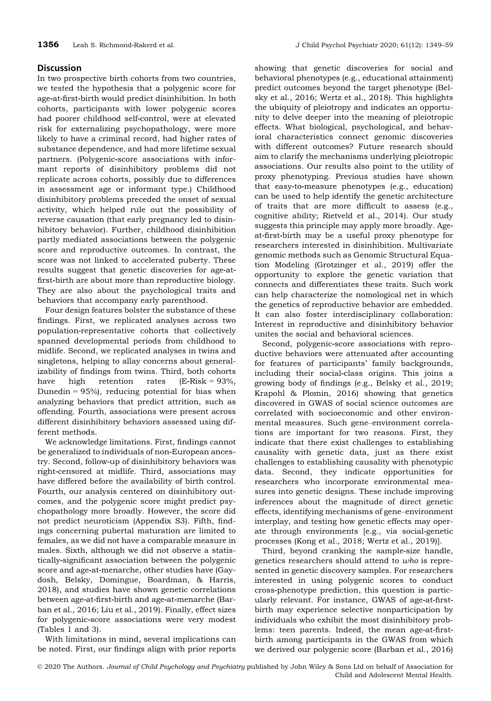# **Discussion**

In two prospective birth cohorts from two countries, we tested the hypothesis that a polygenic score for age‐at‐first‐birth would predict disinhibition. In both cohorts, participants with lower polygenic scores had poorer childhood self‐control, were at elevated risk for externalizing psychopathology, were more likely to have a criminal record, had higher rates of substance dependence, and had more lifetime sexual partners. (Polygenic‐score associations with informant reports of disinhibitory problems did not replicate across cohorts, possibly due to differences in assessment age or informant type.) Childhood disinhibitory problems preceded the onset of sexual activity, which helped rule out the possibility of reverse causation (that early pregnancy led to disinhibitory behavior). Further, childhood disinhibition partly mediated associations between the polygenic score and reproductive outcomes. In contrast, the score was not linked to accelerated puberty. These results suggest that genetic discoveries for age‐at‐ first‐birth are about more than reproductive biology. They are also about the psychological traits and behaviors that accompany early parenthood.

Four design features bolster the substance of these findings. First, we replicated analyses across two population‐representative cohorts that collectively spanned developmental periods from childhood to midlife. Second, we replicated analyses in twins and singletons, helping to allay concerns about generalizability of findings from twins. Third, both cohorts have high retention rates  $(E-Risk = 93\%,$ Dunedin =  $95\%$ ), reducing potential for bias when analyzing behaviors that predict attrition, such as offending. Fourth, associations were present across different disinhibitory behaviors assessed using different methods.

We acknowledge limitations. First, findings cannot be generalized to individuals of non‐European ancestry. Second, follow‐up of disinhibitory behaviors was right‐censored at midlife. Third, associations may have differed before the availability of birth control. Fourth, our analysis centered on disinhibitory outcomes, and the polygenic score might predict psychopathology more broadly. However, the score did not predict neuroticism (Appendix S3). Fifth, findings concerning pubertal maturation are limited to females, as we did not have a comparable measure in males. Sixth, although we did not observe a statistically‐significant association between the polygenic score and age‐at‐menarche, other studies have (Gaydosh, Belsky, Domingue, Boardman, & Harris, 2018), and studies have shown genetic correlations between age‐at‐first‐birth and age‐at‐menarche (Barban et al., 2016; Liu et al., 2019). Finally, effect sizes for polygenic‐score associations were very modest (Tables 1 and 3).

With limitations in mind, several implications can be noted. First, our findings align with prior reports

showing that genetic discoveries for social and behavioral phenotypes (e.g., educational attainment) predict outcomes beyond the target phenotype (Belsky et al., 2016; Wertz et al., 2018). This highlights the ubiquity of pleiotropy and indicates an opportunity to delve deeper into the meaning of pleiotropic effects. What biological, psychological, and behavioral characteristics connect genomic discoveries with different outcomes? Future research should aim to clarify the mechanisms underlying pleiotropic associations. Our results also point to the utility of proxy phenotyping. Previous studies have shown that easy‐to‐measure phenotypes (e.g., education) can be used to help identify the genetic architecture of traits that are more difficult to assess (e.g., cognitive ability; Rietveld et al., 2014). Our study suggests this principle may apply more broadly. Age‐ at‐first‐birth may be a useful proxy phenotype for researchers interested in disinhibition. Multivariate genomic methods such as Genomic Structural Equation Modeling (Grotzinger et al., 2019) offer the opportunity to explore the genetic variation that connects and differentiates these traits. Such work can help characterize the nomological net in which the genetics of reproductive behavior are embedded. It can also foster interdisciplinary collaboration: Interest in reproductive and disinhibitory behavior unites the social and behavioral sciences.

Second, polygenic‐score associations with reproductive behaviors were attenuated after accounting for features of participants' family backgrounds, including their social‐class origins. This joins a growing body of findings (e.g., Belsky et al., 2019; Krapohl & Plomin, 2016) showing that genetics discovered in GWAS of social science outcomes are correlated with socioeconomic and other environmental measures. Such gene–environment correlations are important for two reasons. First, they indicate that there exist challenges to establishing causality with genetic data, just as there exist challenges to establishing causality with phenotypic data. Second, they indicate opportunities for researchers who incorporate environmental measures into genetic designs. These include improving inferences about the magnitude of direct genetic effects, identifying mechanisms of gene–environment interplay, and testing how genetic effects may operate through environments [e.g., via social‐genetic processes (Kong et al., 2018; Wertz et al., 2019)].

Third, beyond cranking the sample‐size handle, genetics researchers should attend to who is represented in genetic discovery samples. For researchers interested in using polygenic scores to conduct cross‐phenotype prediction, this question is particularly relevant. For instance, GWAS of age‐at‐first‐ birth may experience selective nonparticipation by individuals who exhibit the most disinhibitory problems: teen parents. Indeed, the mean age‐at‐first‐ birth among participants in the GWAS from which we derived our polygenic score (Barban et al., 2016)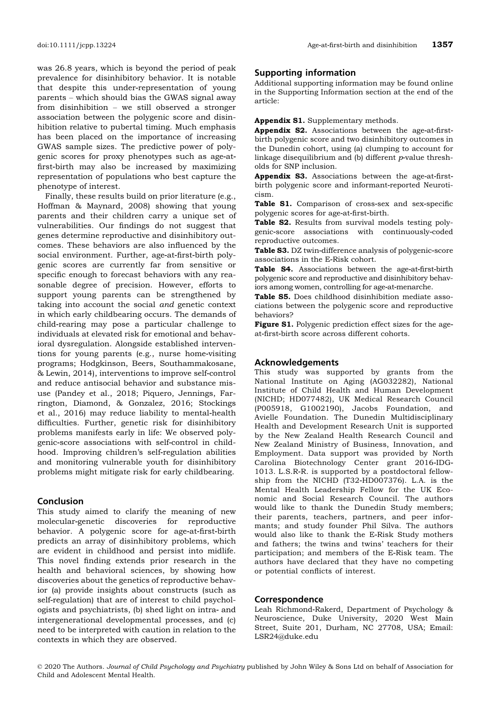was 26.8 years, which is beyond the period of peak prevalence for disinhibitory behavior. It is notable that despite this under‐representation of young parents – which should bias the GWAS signal away from disinhibition – we still observed a stronger association between the polygenic score and disinhibition relative to pubertal timing. Much emphasis has been placed on the importance of increasing GWAS sample sizes. The predictive power of polygenic scores for proxy phenotypes such as age‐at‐ first‐birth may also be increased by maximizing representation of populations who best capture the phenotype of interest.

Finally, these results build on prior literature (e.g., Hoffman & Maynard, 2008) showing that young parents and their children carry a unique set of vulnerabilities. Our findings do not suggest that genes determine reproductive and disinhibitory outcomes. These behaviors are also influenced by the social environment. Further, age-at-first-birth polygenic scores are currently far from sensitive or specific enough to forecast behaviors with any reasonable degree of precision. However, efforts to support young parents can be strengthened by taking into account the social and genetic context in which early childbearing occurs. The demands of child‐rearing may pose a particular challenge to individuals at elevated risk for emotional and behavioral dysregulation. Alongside established interventions for young parents (e.g., nurse home‐visiting programs; Hodgkinson, Beers, Southammakosane, & Lewin, 2014), interventions to improve self‐control and reduce antisocial behavior and substance misuse (Pandey et al., 2018; Piquero, Jennings, Farrington, Diamond, & Gonzalez, 2016; Stockings et al., 2016) may reduce liability to mental‐health difficulties. Further, genetic risk for disinhibitory problems manifests early in life: We observed polygenic‐score associations with self‐control in childhood. Improving children's self-regulation abilities and monitoring vulnerable youth for disinhibitory problems might mitigate risk for early childbearing.

# Conclusion

This study aimed to clarify the meaning of new molecular‐genetic discoveries for reproductive behavior. A polygenic score for age-at-first-birth predicts an array of disinhibitory problems, which are evident in childhood and persist into midlife. This novel finding extends prior research in the health and behavioral sciences, by showing how discoveries about the genetics of reproductive behavior (a) provide insights about constructs (such as self-regulation) that are of interest to child psychologists and psychiatrists, (b) shed light on intra‐ and intergenerational developmental processes, and (c) need to be interpreted with caution in relation to the contexts in which they are observed.

# Supporting information

Additional supporting information may be found online in the Supporting Information section at the end of the article:

Appendix S1. Supplementary methods.

Appendix S2. Associations between the age-at-firstbirth polygenic score and two disinhibitory outcomes in the Dunedin cohort, using (a) clumping to account for linkage disequilibrium and (b) different  $p$ -value thresholds for SNP inclusion.

Appendix S3. Associations between the age-at-firstbirth polygenic score and informant‐reported Neuroticism.

Table S1. Comparison of cross-sex and sex-specific polygenic scores for age‐at‐first‐birth.

Table S2. Results from survival models testing polygenic‐score associations with continuously‐coded reproductive outcomes.

Table S3. DZ twin-difference analysis of polygenic-score associations in the E‐Risk cohort.

Table S4. Associations between the age-at-first-birth polygenic score and reproductive and disinhibitory behaviors among women, controlling for age‐at‐menarche.

Table S5. Does childhood disinhibition mediate associations between the polygenic score and reproductive behaviors?

Figure S1. Polygenic prediction effect sizes for the ageat‐first‐birth score across different cohorts.

## Acknowledgements

This study was supported by grants from the National Institute on Aging (AG032282), National Institute of Child Health and Human Development (NICHD; HD077482), UK Medical Research Council (P005918, G1002190), Jacobs Foundation, and Avielle Foundation. The Dunedin Multidisciplinary Health and Development Research Unit is supported by the New Zealand Health Research Council and New Zealand Ministry of Business, Innovation, and Employment. Data support was provided by North Carolina Biotechnology Center grant 2016‐IDG‐ 1013. L.S.R‐R. is supported by a postdoctoral fellowship from the NICHD (T32‐HD007376). L.A. is the Mental Health Leadership Fellow for the UK Economic and Social Research Council. The authors would like to thank the Dunedin Study members; their parents, teachers, partners, and peer informants; and study founder Phil Silva. The authors would also like to thank the E‐Risk Study mothers and fathers; the twins and twins' teachers for their participation; and members of the E‐Risk team. The authors have declared that they have no competing or potential conflicts of interest.

## Correspondence

Leah Richmond‐Rakerd, Department of Psychology & Neuroscience, Duke University, 2020 West Main Street, Suite 201, Durham, NC 27708, USA; Email: LSR24@duke.edu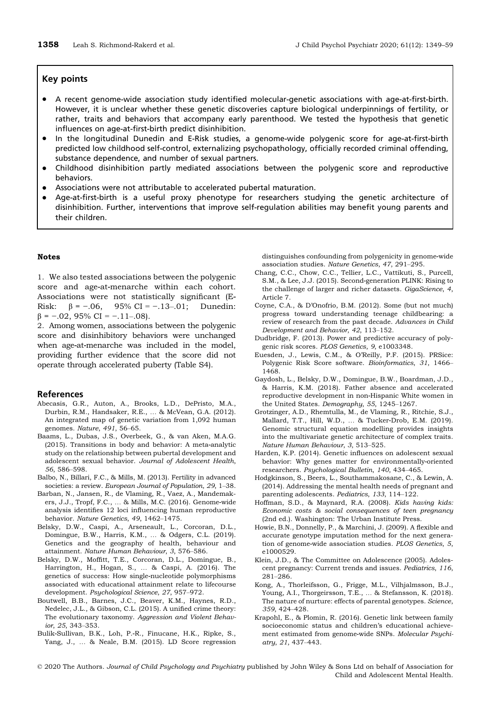#### Key points

- A recent genome‐wide association study identified molecular‐genetic associations with age‐at‐first‐birth. However, it is unclear whether these genetic discoveries capture biological underpinnings of fertility, or rather, traits and behaviors that accompany early parenthood. We tested the hypothesis that genetic influences on age‐at‐first‐birth predict disinhibition.
- In the longitudinal Dunedin and E‐Risk studies, a genome‐wide polygenic score for age‐at‐first‐birth predicted low childhood self‐control, externalizing psychopathology, officially recorded criminal offending, substance dependence, and number of sexual partners.
- Childhood disinhibition partly mediated associations between the polygenic score and reproductive behaviors.
- **•** Associations were not attributable to accelerated pubertal maturation.<br>• Age-at-first-birth is a useful proxy phenotype for researchers stud
- Age-at-first-birth is a useful proxy phenotype for researchers studying the genetic architecture of disinhibition. Further, interventions that improve self-regulation abilities may benefit young parents and their children.

#### Notes

1. We also tested associations between the polygenic score and age-at-menarche within each cohort. Associations were not statistically significant (E‐ Risk:  $\beta = -.06$ , 95% CI = -.13-.01; Dunedin:  $\beta$  = -.02, 95% CI = -.11-.08).

2. Among women, associations between the polygenic score and disinhibitory behaviors were unchanged when age-at-menarche was included in the model, providing further evidence that the score did not operate through accelerated puberty (Table S4).

#### References

- Abecasis, G.R., Auton, A., Brooks, L.D., DePristo, M.A., Durbin, R.M., Handsaker, R.E., … & McVean, G.A. (2012). An integrated map of genetic variation from 1,092 human genomes. Nature, 491, 56–65.
- Baams, L., Dubas, J.S., Overbeek, G., & van Aken, M.A.G. (2015). Transitions in body and behavior: A meta‐analytic study on the relationship between pubertal development and adolescent sexual behavior. Journal of Adolescent Health, 56, 586–598.
- Balbo, N., Billari, F.C., & Mills, M. (2013). Fertility in advanced societies: a review. European Journal of Population, 29, 1-38.
- Barban, N., Jansen, R., de Vlaming, R., Vaez, A., Mandemakers, J.J., Tropf, F.C., ... & Mills, M.C. (2016). Genome-wide analysis identifies 12 loci influencing human reproductive behavior. Nature Genetics, 49, 1462–1475.
- Belsky, D.W., Caspi, A., Arseneault, L., Corcoran, D.L., Domingue, B.W., Harris, K.M., … & Odgers, C.L. (2019). Genetics and the geography of health, behaviour and attainment. Nature Human Behaviour, 3, 576–586.
- Belsky, D.W., Moffitt, T.E., Corcoran, D.L., Domingue, B., Harrington, H., Hogan, S., … & Caspi, A. (2016). The genetics of success: How single‐nucleotide polymorphisms associated with educational attainment relate to lifecourse development. Psychological Science, 27, 957–972.
- Boutwell, B.B., Barnes, J.C., Beaver, K.M., Haynes, R.D., Nedelec, J.L., & Gibson, C.L. (2015). A unified crime theory: The evolutionary taxonomy. Aggression and Violent Behavior, 25, 343–353.
- Bulik‐Sullivan, B.K., Loh, P.‐R., Finucane, H.K., Ripke, S., Yang, J., … & Neale, B.M. (2015). LD Score regression

distinguishes confounding from polygenicity in genome‐wide association studies. Nature Genetics, 47, 291–295.

- Chang, C.C., Chow, C.C., Tellier, L.C., Vattikuti, S., Purcell, S.M., & Lee, J.J. (2015). Second‐generation PLINK: Rising to the challenge of larger and richer datasets. GigaScience, 4, Article 7.
- Coyne, C.A., & D'Onofrio, B.M. (2012). Some (but not much) progress toward understanding teenage childbearing: a review of research from the past decade. Advances in Child Development and Behavior, 42, 113–152.
- Dudbridge, F. (2013). Power and predictive accuracy of polygenic risk scores. PLOS Genetics, 9, e1003348.
- Euesden, J., Lewis, C.M., & O'Reilly, P.F. (2015). PRSice: Polygenic Risk Score software. Bioinformatics, 31, 1466– 1468.
- Gaydosh, L., Belsky, D.W., Domingue, B.W., Boardman, J.D., & Harris, K.M. (2018). Father absence and accelerated reproductive development in non‐Hispanic White women in the United States. Demography, 55, 1245–1267.
- Grotzinger, A.D., Rhemtulla, M., de Vlaming, R., Ritchie, S.J., Mallard, T.T., Hill, W.D., … & Tucker‐Drob, E.M. (2019). Genomic structural equation modelling provides insights into the multivariate genetic architecture of complex traits. Nature Human Behaviour, 3, 513–525.
- Harden, K.P. (2014). Genetic influences on adolescent sexual behavior: Why genes matter for environmentally‐oriented researchers. Psychological Bulletin, 140, 434–465.
- Hodgkinson, S., Beers, L., Southammakosane, C., & Lewin, A. (2014). Addressing the mental health needs of pregnant and parenting adolescents. Pediatrics, 133, 114–122.
- Hoffman, S.D., & Maynard, R.A. (2008). Kids having kids: Economic costs & social consequences of teen pregnancy (2nd ed.). Washington: The Urban Institute Press.
- Howie, B.N., Donnelly, P., & Marchini, J. (2009). A flexible and accurate genotype imputation method for the next generation of genome‐wide association studies. PLOS Genetics, 5, e1000529.
- Klein, J.D., & The Committee on Adolescence (2005). Adolescent pregnancy: Current trends and issues. Pediatrics, 116, 281–286.
- Kong, A., Thorleifsson, G., Frigge, M.L., Vilhjalmsson, B.J., Young, A.I., Thorgeirsson, T.E., … & Stefansson, K. (2018). The nature of nurture: effects of parental genotypes. Science, 359, 424–428.
- Krapohl, E., & Plomin, R. (2016). Genetic link between family socioeconomic status and children's educational achievement estimated from genome‐wide SNPs. Molecular Psychiatry, 21, 437–443.